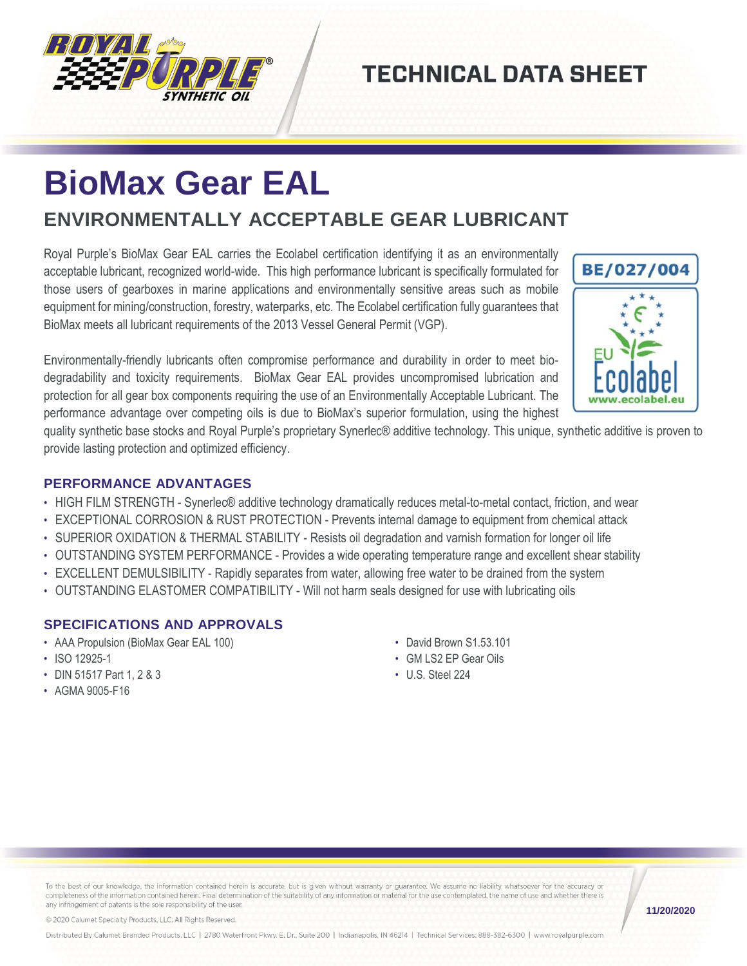

## **TECHNICAL DATA SHEET**

# **BioMax Gear EAL**

### **ENVIRONMENTALLY ACCEPTABLE GEAR LUBRICANT**

Royal Purple's BioMax Gear EAL carries the Ecolabel certification identifying it as an environmentally acceptable lubricant, recognized world-wide. This high performance lubricant is specifically formulated for those users of gearboxes in marine applications and environmentally sensitive areas such as mobile equipment for mining/construction, forestry, waterparks, etc. The Ecolabel certification fully guarantees that BioMax meets all lubricant requirements of the 2013 Vessel General Permit (VGP).



quality synthetic base stocks and Royal Purple's proprietary Synerlec® additive technology. This unique, synthetic additive is proven to provide lasting protection and optimized efficiency.

#### **PERFORMANCE ADVANTAGES**

- HIGH FILM STRENGTH Synerlec® additive technology dramatically reduces metal-to-metal contact, friction, and wear
- EXCEPTIONAL CORROSION & RUST PROTECTION Prevents internal damage to equipment from chemical attack
- SUPERIOR OXIDATION & THERMAL STABILITY Resists oil degradation and varnish formation for longer oil life
- OUTSTANDING SYSTEM PERFORMANCE Provides a wide operating temperature range and excellent shear stability
- EXCELLENT DEMULSIBILITY Rapidly separates from water, allowing free water to be drained from the system
- OUTSTANDING ELASTOMER COMPATIBILITY Will not harm seals designed for use with lubricating oils

#### **SPECIFICATIONS AND APPROVALS**

- AAA Propulsion (BioMax Gear EAL 100)
- ISO 12925-1
- DIN 51517 Part 1, 2 & 3
- AGMA 9005-F16
- David Brown S1.53.101
- GM LS2 EP Gear Oils
- U.S. Steel 224

To the best of our knowledge, the information contained herein is accurate, but is given without warranty or guarantee. We assume no liability whatsoever for the accuracy or completeness of the information contained herein. Final determination of the suitability of any information or material for the use contemplated, the name of use and whether there is any infringement of patents is the sole responsibility of the user.

**11/20/2020**

BE/027/004

© 2020 Calumet Specialty Products, LLC, All Rights Reserved.

Distributed By Calumet Branded Products, LLC | 2780 Waterfront Pkwy. E. Dr., Suite 200 | Indianapolis, IN 46214 | Technical Services: 888-382-6300 | www.royalpurple.com